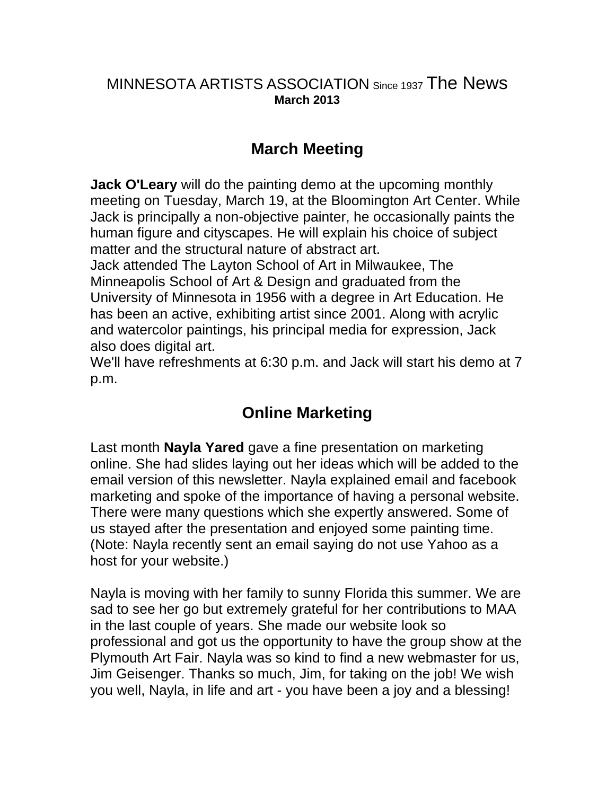#### MINNESOTA ARTISTS ASSOCIATION Since 1937 The News **March 2013**

## **March Meeting**

**Jack O'Leary** will do the painting demo at the upcoming monthly meeting on Tuesday, March 19, at the Bloomington Art Center. While Jack is principally a non-objective painter, he occasionally paints the human figure and cityscapes. He will explain his choice of subject matter and the structural nature of abstract art.

Jack attended The Layton School of Art in Milwaukee, The Minneapolis School of Art & Design and graduated from the University of Minnesota in 1956 with a degree in Art Education. He has been an active, exhibiting artist since 2001. Along with acrylic and watercolor paintings, his principal media for expression, Jack also does digital art.

We'll have refreshments at 6:30 p.m. and Jack will start his demo at 7 p.m.

### **Online Marketing**

Last month **Nayla Yared** gave a fine presentation on marketing online. She had slides laying out her ideas which will be added to the email version of this newsletter. Nayla explained email and facebook marketing and spoke of the importance of having a personal website. There were many questions which she expertly answered. Some of us stayed after the presentation and enjoyed some painting time. (Note: Nayla recently sent an email saying do not use Yahoo as a host for your website.)

Nayla is moving with her family to sunny Florida this summer. We are sad to see her go but extremely grateful for her contributions to MAA in the last couple of years. She made our website look so professional and got us the opportunity to have the group show at the Plymouth Art Fair. Nayla was so kind to find a new webmaster for us, Jim Geisenger. Thanks so much, Jim, for taking on the job! We wish you well, Nayla, in life and art - you have been a joy and a blessing!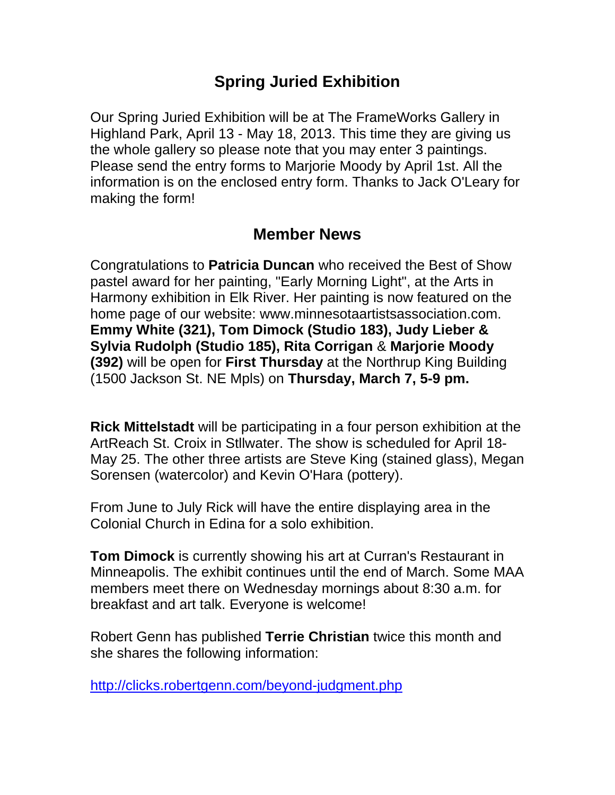## **Spring Juried Exhibition**

Our Spring Juried Exhibition will be at The FrameWorks Gallery in Highland Park, April 13 - May 18, 2013. This time they are giving us the whole gallery so please note that you may enter 3 paintings. Please send the entry forms to Marjorie Moody by April 1st. All the information is on the enclosed entry form. Thanks to Jack O'Leary for making the form!

### **Member News**

Congratulations to **Patricia Duncan** who received the Best of Show pastel award for her painting, "Early Morning Light", at the Arts in Harmony exhibition in Elk River. Her painting is now featured on the home page of our website: www.minnesotaartistsassociation.com. **Emmy White (321), Tom Dimock (Studio 183), Judy Lieber & Sylvia Rudolph (Studio 185), Rita Corrigan** & **Marjorie Moody (392)** will be open for **First Thursday** at the Northrup King Building (1500 Jackson St. NE Mpls) on **Thursday, March 7, 5-9 pm.**

**Rick Mittelstadt** will be participating in a four person exhibition at the ArtReach St. Croix in Stllwater. The show is scheduled for April 18- May 25. The other three artists are Steve King (stained glass), Megan Sorensen (watercolor) and Kevin O'Hara (pottery).

From June to July Rick will have the entire displaying area in the Colonial Church in Edina for a solo exhibition.

**Tom Dimock** is currently showing his art at Curran's Restaurant in Minneapolis. The exhibit continues until the end of March. Some MAA members meet there on Wednesday mornings about 8:30 a.m. for breakfast and art talk. Everyone is welcome!

Robert Genn has published **Terrie Christian** twice this month and she shares the following information:

<http://clicks.robertgenn.com/beyond-judgment.php>